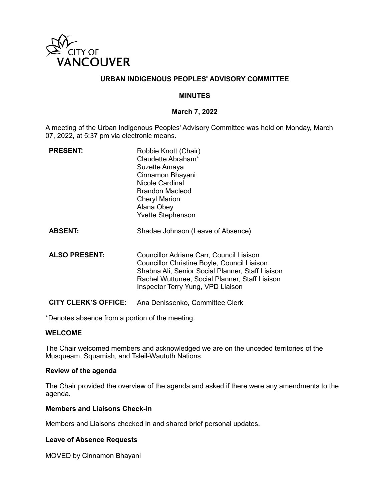

## **URBAN INDIGENOUS PEOPLES' ADVISORY COMMITTEE**

### **MINUTES**

#### **March 7, 2022**

A meeting of the Urban Indigenous Peoples' Advisory Committee was held on Monday, March 07, 2022, at 5:37 pm via electronic means.

| <b>PRESENT:</b>             | Robbie Knott (Chair)<br>Claudette Abraham*<br>Suzette Amaya<br>Cinnamon Bhayani<br>Nicole Cardinal<br>Brandon Macleod<br><b>Cheryl Marion</b><br>Alana Obey<br><b>Yvette Stephenson</b>                                            |
|-----------------------------|------------------------------------------------------------------------------------------------------------------------------------------------------------------------------------------------------------------------------------|
| <b>ABSENT:</b>              | Shadae Johnson (Leave of Absence)                                                                                                                                                                                                  |
| <b>ALSO PRESENT:</b>        | Councillor Adriane Carr, Council Liaison<br>Councillor Christine Boyle, Council Liaison<br>Shabna Ali, Senior Social Planner, Staff Liaison<br>Rachel Wuttunee, Social Planner, Staff Liaison<br>Inspector Terry Yung, VPD Liaison |
| <b>CITY CLERK'S OFFICE:</b> | Ana Denissenko, Committee Clerk                                                                                                                                                                                                    |

\*Denotes absence from a portion of the meeting.

### **WELCOME**

The Chair welcomed members and acknowledged we are on the unceded territories of the Musqueam, Squamish, and Tsleil-Waututh Nations.

#### **Review of the agenda**

The Chair provided the overview of the agenda and asked if there were any amendments to the agenda.

#### **Members and Liaisons Check-in**

Members and Liaisons checked in and shared brief personal updates.

#### **Leave of Absence Requests**

MOVED by Cinnamon Bhayani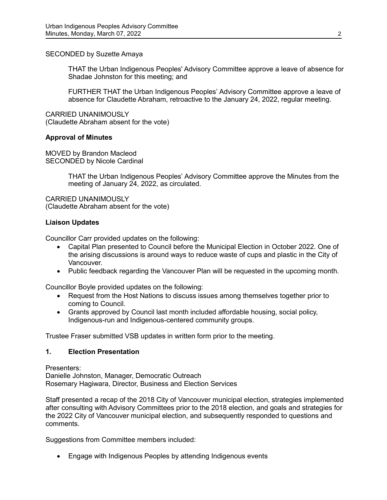## SECONDED by Suzette Amaya

THAT the Urban Indigenous Peoples' Advisory Committee approve a leave of absence for Shadae Johnston for this meeting; and

FURTHER THAT the Urban Indigenous Peoples' Advisory Committee approve a leave of absence for Claudette Abraham, retroactive to the January 24, 2022, regular meeting.

CARRIED UNANIMOUSLY (Claudette Abraham absent for the vote)

## **Approval of Minutes**

MOVED by Brandon Macleod SECONDED by Nicole Cardinal

> THAT the Urban Indigenous Peoples' Advisory Committee approve the Minutes from the meeting of January 24, 2022, as circulated.

CARRIED UNANIMOUSLY (Claudette Abraham absent for the vote)

## **Liaison Updates**

Councillor Carr provided updates on the following:

- Capital Plan presented to Council before the Municipal Election in October 2022. One of the arising discussions is around ways to reduce waste of cups and plastic in the City of Vancouver.
- Public feedback regarding the Vancouver Plan will be requested in the upcoming month.

Councillor Boyle provided updates on the following:

- Request from the Host Nations to discuss issues among themselves together prior to coming to Council.
- Grants approved by Council last month included affordable housing, social policy, Indigenous-run and Indigenous-centered community groups.

Trustee Fraser submitted VSB updates in written form prior to the meeting.

### **1. Election Presentation**

Presenters: Danielle Johnston, Manager, Democratic Outreach Rosemary Hagiwara, Director, Business and Election Services

Staff presented a recap of the 2018 City of Vancouver municipal election, strategies implemented after consulting with Advisory Committees prior to the 2018 election, and goals and strategies for the 2022 City of Vancouver municipal election, and subsequently responded to questions and comments.

Suggestions from Committee members included:

• Engage with Indigenous Peoples by attending Indigenous events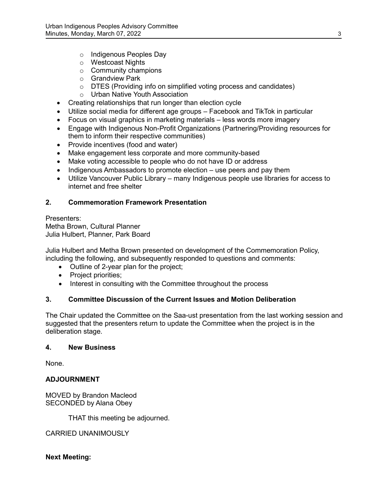- o Indigenous Peoples Day
- o Westcoast Nights
- o Community champions
- o Grandview Park
- $\circ$  DTES (Providing info on simplified voting process and candidates)
- o Urban Native Youth Association
- Creating relationships that run longer than election cycle
- Utilize social media for different age groups Facebook and TikTok in particular
- Focus on visual graphics in marketing materials less words more imagery
- Engage with Indigenous Non-Profit Organizations (Partnering/Providing resources for them to inform their respective communities)
- Provide incentives (food and water)
- Make engagement less corporate and more community-based
- Make voting accessible to people who do not have ID or address
- Indigenous Ambassadors to promote election use peers and pay them
- Utilize Vancouver Public Library many Indigenous people use libraries for access to internet and free shelter

# **2. Commemoration Framework Presentation**

Presenters: Metha Brown, Cultural Planner Julia Hulbert, Planner, Park Board

Julia Hulbert and Metha Brown presented on development of the Commemoration Policy, including the following, and subsequently responded to questions and comments:

- Outline of 2-year plan for the project;
- Project priorities;
- Interest in consulting with the Committee throughout the process

# **3. Committee Discussion of the Current Issues and Motion Deliberation**

The Chair updated the Committee on the Saa-ust presentation from the last working session and suggested that the presenters return to update the Committee when the project is in the deliberation stage.

### **4. New Business**

None.

# **ADJOURNMENT**

MOVED by Brandon Macleod SECONDED by Alana Obey

THAT this meeting be adjourned.

CARRIED UNANIMOUSLY

# **Next Meeting:**